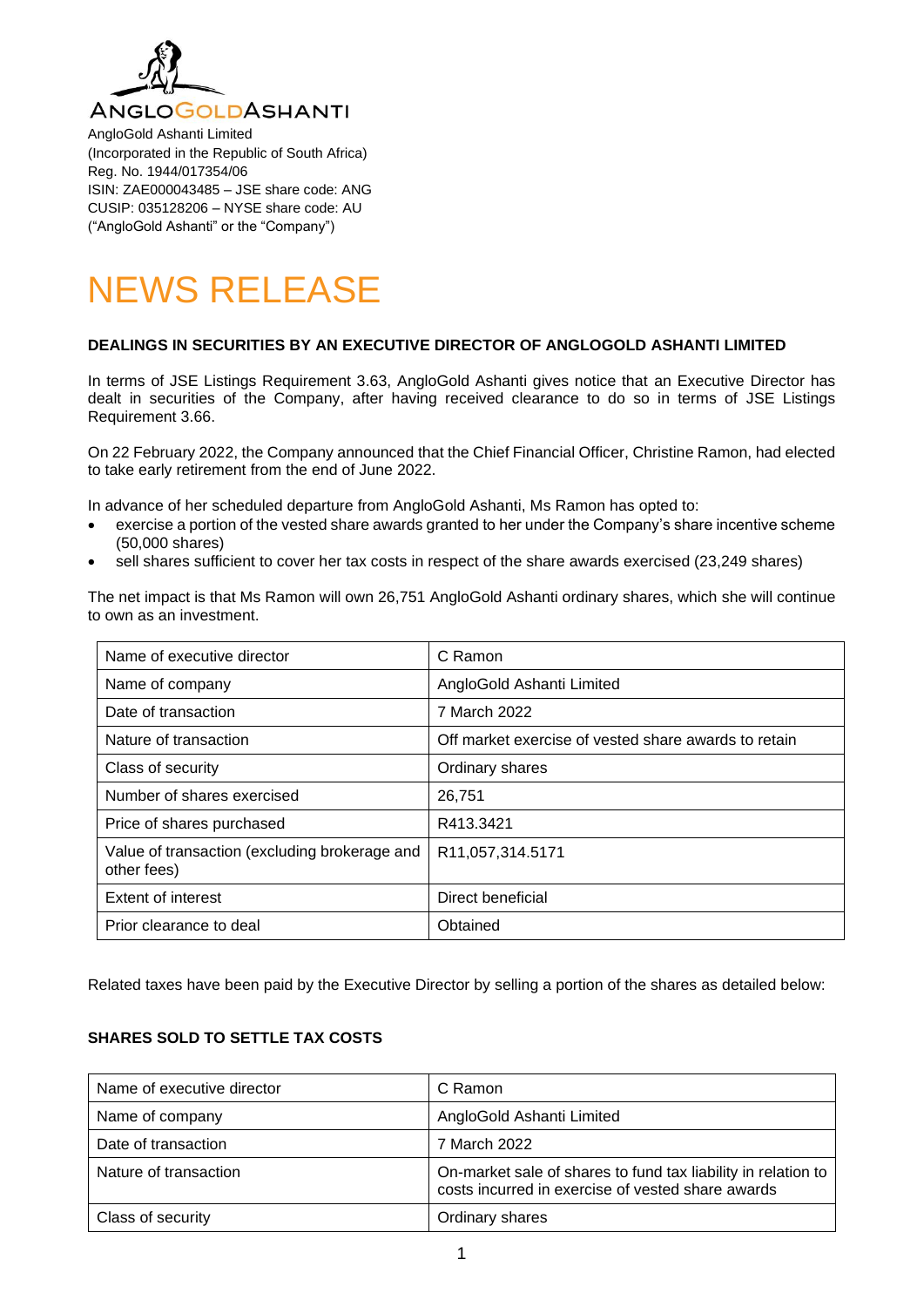

AngloGold Ashanti Limited (Incorporated in the Republic of South Africa) Reg. No. 1944/017354/06 ISIN: ZAE000043485 – JSE share code: ANG CUSIP: 035128206 – NYSE share code: AU ("AngloGold Ashanti" or the "Company")

# NEWS RELEASE

## **DEALINGS IN SECURITIES BY AN EXECUTIVE DIRECTOR OF ANGLOGOLD ASHANTI LIMITED**

In terms of JSE Listings Requirement 3.63, AngloGold Ashanti gives notice that an Executive Director has dealt in securities of the Company, after having received clearance to do so in terms of JSE Listings Requirement 3.66.

On 22 February 2022, the Company announced that the Chief Financial Officer, Christine Ramon, had elected to take early retirement from the end of June 2022.

In advance of her scheduled departure from AngloGold Ashanti, Ms Ramon has opted to:

- exercise a portion of the vested share awards granted to her under the Company's share incentive scheme (50,000 shares)
- sell shares sufficient to cover her tax costs in respect of the share awards exercised (23,249 shares)

The net impact is that Ms Ramon will own 26,751 AngloGold Ashanti ordinary shares, which she will continue to own as an investment.

| Name of executive director                                   | C Ramon                                              |
|--------------------------------------------------------------|------------------------------------------------------|
| Name of company                                              | AngloGold Ashanti Limited                            |
| Date of transaction                                          | 7 March 2022                                         |
| Nature of transaction                                        | Off market exercise of vested share awards to retain |
| Class of security                                            | Ordinary shares                                      |
| Number of shares exercised                                   | 26,751                                               |
| Price of shares purchased                                    | R413.3421                                            |
| Value of transaction (excluding brokerage and<br>other fees) | R <sub>11</sub> , 057, 314.5171                      |
| Extent of interest                                           | Direct beneficial                                    |
| Prior clearance to deal                                      | Obtained                                             |

Related taxes have been paid by the Executive Director by selling a portion of the shares as detailed below:

## **SHARES SOLD TO SETTLE TAX COSTS**

| Name of executive director | C Ramon                                                                                                            |
|----------------------------|--------------------------------------------------------------------------------------------------------------------|
| Name of company            | AngloGold Ashanti Limited                                                                                          |
| Date of transaction        | 7 March 2022                                                                                                       |
| Nature of transaction      | On-market sale of shares to fund tax liability in relation to<br>costs incurred in exercise of vested share awards |
| Class of security          | Ordinary shares                                                                                                    |